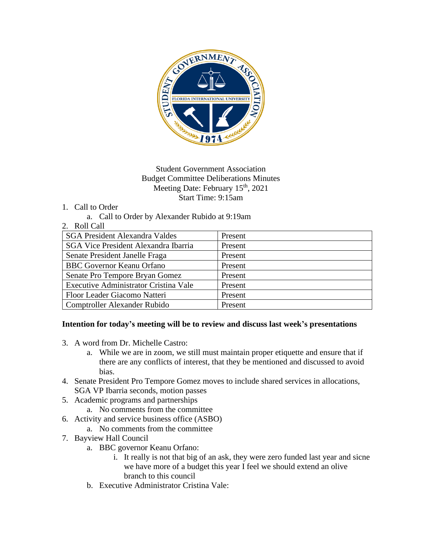

## Student Government Association Budget Committee Deliberations Minutes Meeting Date: February 15<sup>th</sup>, 2021 Start Time: 9:15am

# 1. Call to Order

- a. Call to Order by Alexander Rubido at 9:19am
- 2. Roll Call

| <b>SGA President Alexandra Valdes</b>        | Present |
|----------------------------------------------|---------|
| <b>SGA Vice President Alexandra Ibarria</b>  | Present |
| Senate President Janelle Fraga               | Present |
| <b>BBC</b> Governor Keanu Orfano             | Present |
| Senate Pro Tempore Bryan Gomez               | Present |
| <b>Executive Administrator Cristina Vale</b> | Present |
| Floor Leader Giacomo Natteri                 | Present |
| Comptroller Alexander Rubido                 | Present |
|                                              |         |

## **Intention for today's meeting will be to review and discuss last week's presentations**

- 3. A word from Dr. Michelle Castro:
	- a. While we are in zoom, we still must maintain proper etiquette and ensure that if there are any conflicts of interest, that they be mentioned and discussed to avoid bias.
- 4. Senate President Pro Tempore Gomez moves to include shared services in allocations, SGA VP Ibarria seconds, motion passes
- 5. Academic programs and partnerships
	- a. No comments from the committee
- 6. Activity and service business office (ASBO)
	- a. No comments from the committee
- 7. Bayview Hall Council
	- a. BBC governor Keanu Orfano:
		- i. It really is not that big of an ask, they were zero funded last year and sicne we have more of a budget this year I feel we should extend an olive branch to this council
	- b. Executive Administrator Cristina Vale: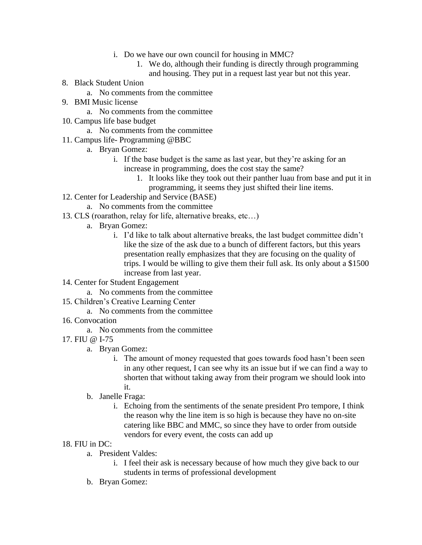- i. Do we have our own council for housing in MMC?
	- 1. We do, although their funding is directly through programming and housing. They put in a request last year but not this year.
	-
- 8. Black Student Union
	- a. No comments from the committee
- 9. BMI Music license
	- a. No comments from the committee
- 10. Campus life base budget
	- a. No comments from the committee
- 11. Campus life- Programming @BBC
	- a. Bryan Gomez:
		- i. If the base budget is the same as last year, but they're asking for an increase in programming, does the cost stay the same?
			- 1. It looks like they took out their panther luau from base and put it in programming, it seems they just shifted their line items.
- 12. Center for Leadership and Service (BASE)
	- a. No comments from the committee
- 13. CLS (roarathon, relay for life, alternative breaks, etc…)
	- a. Bryan Gomez:
		- i. I'd like to talk about alternative breaks, the last budget committee didn't like the size of the ask due to a bunch of different factors, but this years presentation really emphasizes that they are focusing on the quality of trips. I would be willing to give them their full ask. Its only about a \$1500 increase from last year.
- 14. Center for Student Engagement
	- a. No comments from the committee
- 15. Children's Creative Learning Center
	- a. No comments from the committee
- 16. Convocation
	- a. No comments from the committee
- 17. FIU @ I-75
	- a. Bryan Gomez:
		- i. The amount of money requested that goes towards food hasn't been seen in any other request, I can see why its an issue but if we can find a way to shorten that without taking away from their program we should look into it.
	- b. Janelle Fraga:
		- i. Echoing from the sentiments of the senate president Pro tempore, I think the reason why the line item is so high is because they have no on-site catering like BBC and MMC, so since they have to order from outside vendors for every event, the costs can add up

#### 18. FIU in  $DC:$

- a. President Valdes:
	- i. I feel their ask is necessary because of how much they give back to our students in terms of professional development
- b. Bryan Gomez: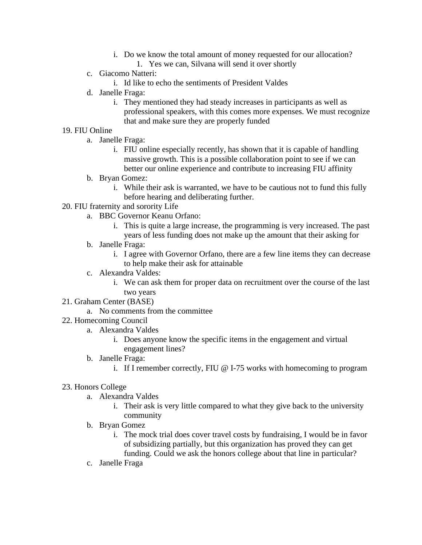- i. Do we know the total amount of money requested for our allocation?
	- 1. Yes we can, Silvana will send it over shortly
- c. Giacomo Natteri:
	- i. Id like to echo the sentiments of President Valdes
- d. Janelle Fraga:
	- i. They mentioned they had steady increases in participants as well as professional speakers, with this comes more expenses. We must recognize that and make sure they are properly funded

#### 19. FIU Online

- a. Janelle Fraga:
	- i. FIU online especially recently, has shown that it is capable of handling massive growth. This is a possible collaboration point to see if we can better our online experience and contribute to increasing FIU affinity
- b. Bryan Gomez:
	- i. While their ask is warranted, we have to be cautious not to fund this fully before hearing and deliberating further.
- 20. FIU fraternity and sorority Life
	- a. BBC Governor Keanu Orfano:
		- i. This is quite a large increase, the programming is very increased. The past years of less funding does not make up the amount that their asking for
	- b. Janelle Fraga:
		- i. I agree with Governor Orfano, there are a few line items they can decrease to help make their ask for attainable
	- c. Alexandra Valdes:
		- i. We can ask them for proper data on recruitment over the course of the last two years
- 21. Graham Center (BASE)
	- a. No comments from the committee
- 22. Homecoming Council
	- a. Alexandra Valdes
		- i. Does anyone know the specific items in the engagement and virtual engagement lines?
	- b. Janelle Fraga:
		- i. If I remember correctly, FIU @ I-75 works with homecoming to program

#### 23. Honors College

- a. Alexandra Valdes
	- i. Their ask is very little compared to what they give back to the university community
- b. Bryan Gomez
	- i. The mock trial does cover travel costs by fundraising, I would be in favor of subsidizing partially, but this organization has proved they can get funding. Could we ask the honors college about that line in particular?
- c. Janelle Fraga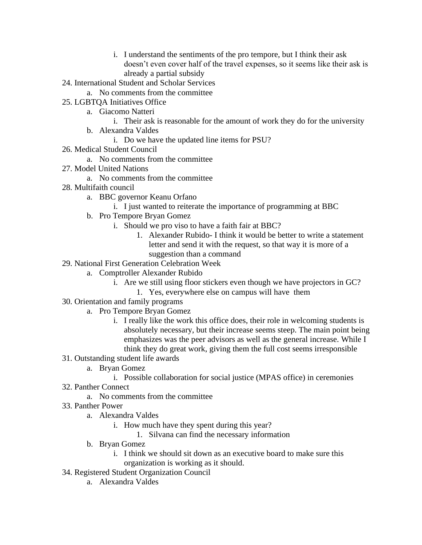- i. I understand the sentiments of the pro tempore, but I think their ask doesn't even cover half of the travel expenses, so it seems like their ask is already a partial subsidy
- 24. International Student and Scholar Services
	- a. No comments from the committee
- 25. LGBTQA Initiatives Office
	- a. Giacomo Natteri
		- i. Their ask is reasonable for the amount of work they do for the university
	- b. Alexandra Valdes
		- i. Do we have the updated line items for PSU?
- 26. Medical Student Council
	- a. No comments from the committee
- 27. Model United Nations
	- a. No comments from the committee
- 28. Multifaith council
	- a. BBC governor Keanu Orfano
		- i. I just wanted to reiterate the importance of programming at BBC
	- b. Pro Tempore Bryan Gomez
		- i. Should we pro viso to have a faith fair at BBC?
			- 1. Alexander Rubido- I think it would be better to write a statement letter and send it with the request, so that way it is more of a suggestion than a command
- 29. National First Generation Celebration Week
	- a. Comptroller Alexander Rubido
		- i. Are we still using floor stickers even though we have projectors in GC?
			- 1. Yes, everywhere else on campus will have them
- 30. Orientation and family programs
	- a. Pro Tempore Bryan Gomez
		- i. I really like the work this office does, their role in welcoming students is absolutely necessary, but their increase seems steep. The main point being emphasizes was the peer advisors as well as the general increase. While I think they do great work, giving them the full cost seems irresponsible
- 31. Outstanding student life awards
	- a. Bryan Gomez
		- i. Possible collaboration for social justice (MPAS office) in ceremonies
- 32. Panther Connect
	- a. No comments from the committee
- 33. Panther Power
	- a. Alexandra Valdes
		- i. How much have they spent during this year?
			- 1. Silvana can find the necessary information
	- b. Bryan Gomez
		- i. I think we should sit down as an executive board to make sure this organization is working as it should.
- 34. Registered Student Organization Council
	- a. Alexandra Valdes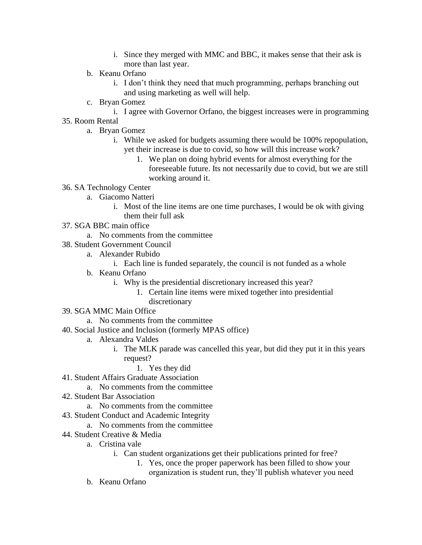- i. Since they merged with MMC and BBC, it makes sense that their ask is more than last year.
- b. Keanu Orfano
	- i. I don't think they need that much programming, perhaps branching out and using marketing as well will help.
- c. Bryan Gomez
	- i. I agree with Governor Orfano, the biggest increases were in programming
- 35. Room Rental
	- a. Bryan Gomez
		- i. While we asked for budgets assuming there would be 100% repopulation, yet their increase is due to covid, so how will this increase work?
			- 1. We plan on doing hybrid events for almost everything for the foreseeable future. Its not necessarily due to covid, but we are still working around it.
- 36. SA Technology Center
	- a. Giacomo Natteri
		- i. Most of the line items are one time purchases, I would be ok with giving them their full ask
- 37. SGA BBC main office
	- a. No comments from the committee
- 38. Student Government Council
	- a. Alexander Rubido
		- i. Each line is funded separately, the council is not funded as a whole
	- b. Keanu Orfano
		- i. Why is the presidential discretionary increased this year?
			- 1. Certain line items were mixed together into presidential discretionary
- 39. SGA MMC Main Office
	- a. No comments from the committee
- 40. Social Justice and Inclusion (formerly MPAS office)
	- a. Alexandra Valdes
		- i. The MLK parade was cancelled this year, but did they put it in this years request?
			- 1. Yes they did
- 41. Student Affairs Graduate Association
	- a. No comments from the committee
- 42. Student Bar Association
	- a. No comments from the committee
- 43. Student Conduct and Academic Integrity
	- a. No comments from the committee
- 44. Student Creative & Media
	- a. Cristina vale
		- i. Can student organizations get their publications printed for free?
			- 1. Yes, once the proper paperwork has been filled to show your
				- organization is student run, they'll publish whatever you need
	- b. Keanu Orfano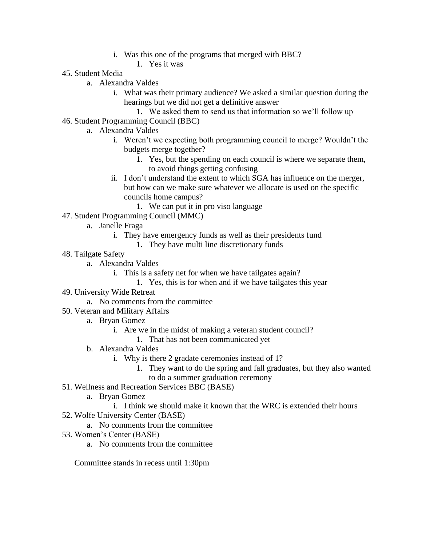- i. Was this one of the programs that merged with BBC?
	- 1. Yes it was
- 45. Student Media
	- a. Alexandra Valdes
		- i. What was their primary audience? We asked a similar question during the hearings but we did not get a definitive answer
			- 1. We asked them to send us that information so we'll follow up
- 46. Student Programming Council (BBC)
	- a. Alexandra Valdes
		- i. Weren't we expecting both programming council to merge? Wouldn't the budgets merge together?
			- 1. Yes, but the spending on each council is where we separate them, to avoid things getting confusing
		- ii. I don't understand the extent to which SGA has influence on the merger, but how can we make sure whatever we allocate is used on the specific councils home campus?
			- 1. We can put it in pro viso language
- 47. Student Programming Council (MMC)
	- a. Janelle Fraga
		- i. They have emergency funds as well as their presidents fund
			- 1. They have multi line discretionary funds
- 48. Tailgate Safety
	- a. Alexandra Valdes
		- i. This is a safety net for when we have tailgates again?
			- 1. Yes, this is for when and if we have tailgates this year
- 49. University Wide Retreat
	- a. No comments from the committee
- 50. Veteran and Military Affairs
	- a. Bryan Gomez
		- i. Are we in the midst of making a veteran student council?
			- 1. That has not been communicated yet
	- b. Alexandra Valdes
		- i. Why is there 2 gradate ceremonies instead of 1?
			- 1. They want to do the spring and fall graduates, but they also wanted to do a summer graduation ceremony
- 51. Wellness and Recreation Services BBC (BASE)
	- a. Bryan Gomez
		- i. I think we should make it known that the WRC is extended their hours
- 52. Wolfe University Center (BASE)
	- a. No comments from the committee
- 53. Women's Center (BASE)
	- a. No comments from the committee

Committee stands in recess until 1:30pm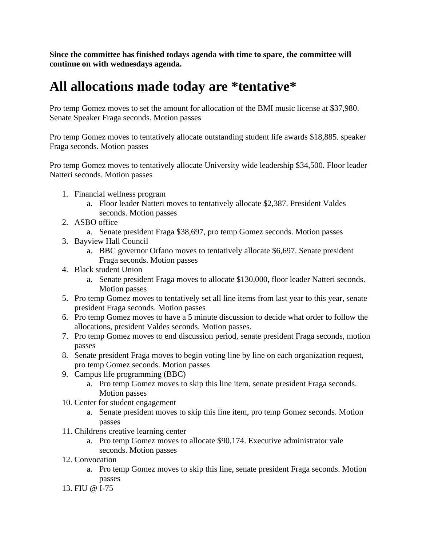**Since the committee has finished todays agenda with time to spare, the committee will continue on with wednesdays agenda.** 

# **All allocations made today are \*tentative\***

Pro temp Gomez moves to set the amount for allocation of the BMI music license at \$37,980. Senate Speaker Fraga seconds. Motion passes

Pro temp Gomez moves to tentatively allocate outstanding student life awards \$18,885. speaker Fraga seconds. Motion passes

Pro temp Gomez moves to tentatively allocate University wide leadership \$34,500. Floor leader Natteri seconds. Motion passes

- 1. Financial wellness program
	- a. Floor leader Natteri moves to tentatively allocate \$2,387. President Valdes seconds. Motion passes
- 2. ASBO office
	- a. Senate president Fraga \$38,697, pro temp Gomez seconds. Motion passes
- 3. Bayview Hall Council
	- a. BBC governor Orfano moves to tentatively allocate \$6,697. Senate president Fraga seconds. Motion passes
- 4. Black student Union
	- a. Senate president Fraga moves to allocate \$130,000, floor leader Natteri seconds. Motion passes
- 5. Pro temp Gomez moves to tentatively set all line items from last year to this year, senate president Fraga seconds. Motion passes
- 6. Pro temp Gomez moves to have a 5 minute discussion to decide what order to follow the allocations, president Valdes seconds. Motion passes.
- 7. Pro temp Gomez moves to end discussion period, senate president Fraga seconds, motion passes
- 8. Senate president Fraga moves to begin voting line by line on each organization request, pro temp Gomez seconds. Motion passes
- 9. Campus life programming (BBC)
	- a. Pro temp Gomez moves to skip this line item, senate president Fraga seconds. Motion passes
- 10. Center for student engagement
	- a. Senate president moves to skip this line item, pro temp Gomez seconds. Motion passes
- 11. Childrens creative learning center
	- a. Pro temp Gomez moves to allocate \$90,174. Executive administrator vale seconds. Motion passes
- 12. Convocation
	- a. Pro temp Gomez moves to skip this line, senate president Fraga seconds. Motion passes
- 13. FIU @ I-75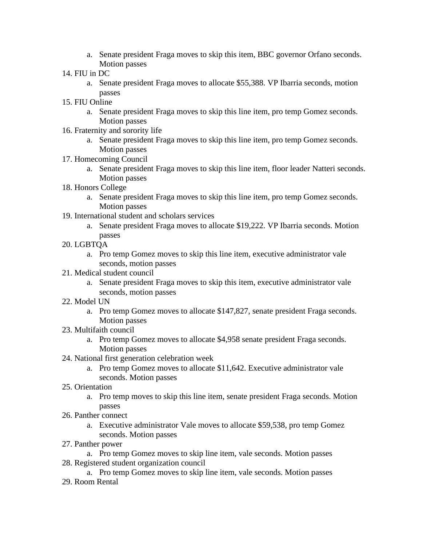- a. Senate president Fraga moves to skip this item, BBC governor Orfano seconds. Motion passes
- 14. FIU in DC
	- a. Senate president Fraga moves to allocate \$55,388. VP Ibarria seconds, motion passes
- 15. FIU Online
	- a. Senate president Fraga moves to skip this line item, pro temp Gomez seconds. Motion passes
- 16. Fraternity and sorority life
	- a. Senate president Fraga moves to skip this line item, pro temp Gomez seconds. Motion passes
- 17. Homecoming Council
	- a. Senate president Fraga moves to skip this line item, floor leader Natteri seconds. Motion passes
- 18. Honors College
	- a. Senate president Fraga moves to skip this line item, pro temp Gomez seconds. Motion passes
- 19. International student and scholars services
	- a. Senate president Fraga moves to allocate \$19,222. VP Ibarria seconds. Motion passes
- 20. LGBTQA
	- a. Pro temp Gomez moves to skip this line item, executive administrator vale seconds, motion passes
- 21. Medical student council
	- a. Senate president Fraga moves to skip this item, executive administrator vale seconds, motion passes
- 22. Model UN
	- a. Pro temp Gomez moves to allocate \$147,827, senate president Fraga seconds. Motion passes
- 23. Multifaith council
	- a. Pro temp Gomez moves to allocate \$4,958 senate president Fraga seconds. Motion passes
- 24. National first generation celebration week
	- a. Pro temp Gomez moves to allocate \$11,642. Executive administrator vale seconds. Motion passes
- 25. Orientation
	- a. Pro temp moves to skip this line item, senate president Fraga seconds. Motion passes
- 26. Panther connect
	- a. Executive administrator Vale moves to allocate \$59,538, pro temp Gomez seconds. Motion passes
- 27. Panther power
- a. Pro temp Gomez moves to skip line item, vale seconds. Motion passes 28. Registered student organization council
- a. Pro temp Gomez moves to skip line item, vale seconds. Motion passes 29. Room Rental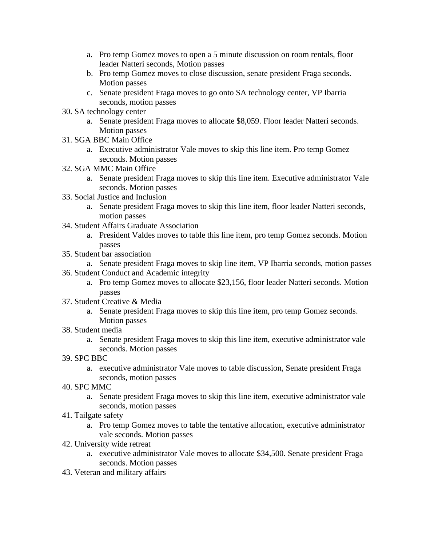- a. Pro temp Gomez moves to open a 5 minute discussion on room rentals, floor leader Natteri seconds, Motion passes
- b. Pro temp Gomez moves to close discussion, senate president Fraga seconds. Motion passes
- c. Senate president Fraga moves to go onto SA technology center, VP Ibarria seconds, motion passes
- 30. SA technology center
	- a. Senate president Fraga moves to allocate \$8,059. Floor leader Natteri seconds. Motion passes
- 31. SGA BBC Main Office
	- a. Executive administrator Vale moves to skip this line item. Pro temp Gomez seconds. Motion passes
- 32. SGA MMC Main Office
	- a. Senate president Fraga moves to skip this line item. Executive administrator Vale seconds. Motion passes
- 33. Social Justice and Inclusion
	- a. Senate president Fraga moves to skip this line item, floor leader Natteri seconds, motion passes
- 34. Student Affairs Graduate Association
	- a. President Valdes moves to table this line item, pro temp Gomez seconds. Motion passes
- 35. Student bar association
- a. Senate president Fraga moves to skip line item, VP Ibarria seconds, motion passes 36. Student Conduct and Academic integrity
	- a. Pro temp Gomez moves to allocate \$23,156, floor leader Natteri seconds. Motion passes
- 37. Student Creative & Media
	- a. Senate president Fraga moves to skip this line item, pro temp Gomez seconds. Motion passes
- 38. Student media
	- a. Senate president Fraga moves to skip this line item, executive administrator vale seconds. Motion passes
- 39. SPC BBC
	- a. executive administrator Vale moves to table discussion, Senate president Fraga seconds, motion passes
- 40. SPC MMC
	- a. Senate president Fraga moves to skip this line item, executive administrator vale seconds, motion passes
- 41. Tailgate safety
	- a. Pro temp Gomez moves to table the tentative allocation, executive administrator vale seconds. Motion passes
- 42. University wide retreat
	- a. executive administrator Vale moves to allocate \$34,500. Senate president Fraga seconds. Motion passes
- 43. Veteran and military affairs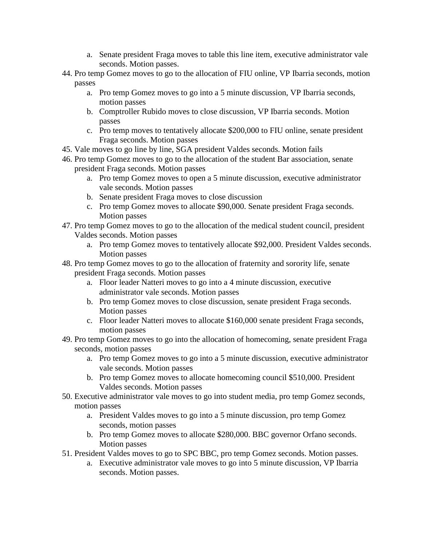- a. Senate president Fraga moves to table this line item, executive administrator vale seconds. Motion passes.
- 44. Pro temp Gomez moves to go to the allocation of FIU online, VP Ibarria seconds, motion passes
	- a. Pro temp Gomez moves to go into a 5 minute discussion, VP Ibarria seconds, motion passes
	- b. Comptroller Rubido moves to close discussion, VP Ibarria seconds. Motion passes
	- c. Pro temp moves to tentatively allocate \$200,000 to FIU online, senate president Fraga seconds. Motion passes
- 45. Vale moves to go line by line, SGA president Valdes seconds. Motion fails
- 46. Pro temp Gomez moves to go to the allocation of the student Bar association, senate president Fraga seconds. Motion passes
	- a. Pro temp Gomez moves to open a 5 minute discussion, executive administrator vale seconds. Motion passes
	- b. Senate president Fraga moves to close discussion
	- c. Pro temp Gomez moves to allocate \$90,000. Senate president Fraga seconds. Motion passes
- 47. Pro temp Gomez moves to go to the allocation of the medical student council, president Valdes seconds. Motion passes
	- a. Pro temp Gomez moves to tentatively allocate \$92,000. President Valdes seconds. Motion passes
- 48. Pro temp Gomez moves to go to the allocation of fraternity and sorority life, senate president Fraga seconds. Motion passes
	- a. Floor leader Natteri moves to go into a 4 minute discussion, executive administrator vale seconds. Motion passes
	- b. Pro temp Gomez moves to close discussion, senate president Fraga seconds. Motion passes
	- c. Floor leader Natteri moves to allocate \$160,000 senate president Fraga seconds, motion passes
- 49. Pro temp Gomez moves to go into the allocation of homecoming, senate president Fraga seconds, motion passes
	- a. Pro temp Gomez moves to go into a 5 minute discussion, executive administrator vale seconds. Motion passes
	- b. Pro temp Gomez moves to allocate homecoming council \$510,000. President Valdes seconds. Motion passes
- 50. Executive administrator vale moves to go into student media, pro temp Gomez seconds, motion passes
	- a. President Valdes moves to go into a 5 minute discussion, pro temp Gomez seconds, motion passes
	- b. Pro temp Gomez moves to allocate \$280,000. BBC governor Orfano seconds. Motion passes
- 51. President Valdes moves to go to SPC BBC, pro temp Gomez seconds. Motion passes.
	- a. Executive administrator vale moves to go into 5 minute discussion, VP Ibarria seconds. Motion passes.